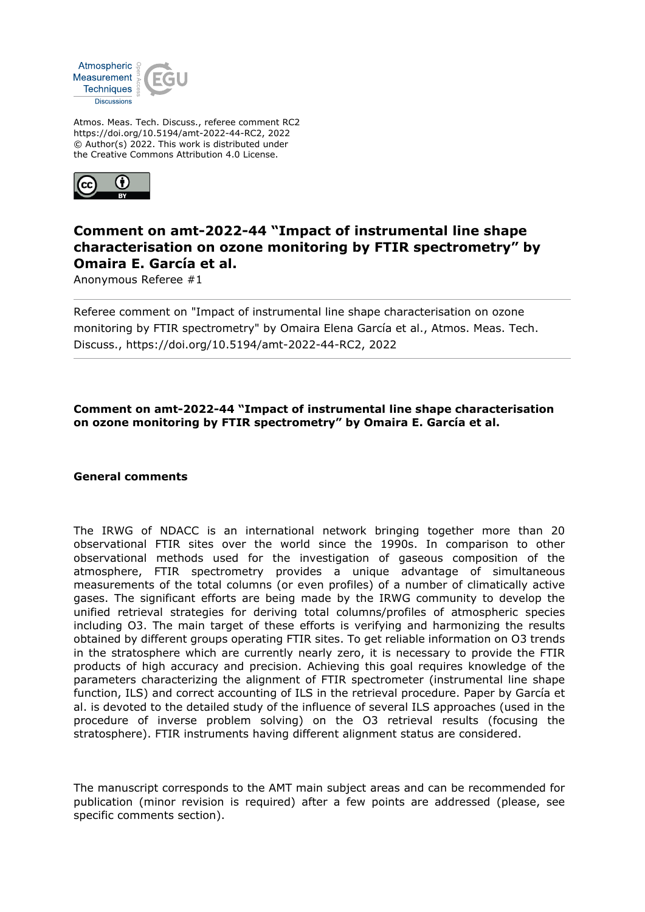

Atmos. Meas. Tech. Discuss., referee comment RC2 https://doi.org/10.5194/amt-2022-44-RC2, 2022 © Author(s) 2022. This work is distributed under the Creative Commons Attribution 4.0 License.



## **Comment on amt-2022-44 "Impact of instrumental line shape characterisation on ozone monitoring by FTIR spectrometry" by Omaira E. García et al.**

Anonymous Referee #1

Referee comment on "Impact of instrumental line shape characterisation on ozone monitoring by FTIR spectrometry" by Omaira Elena García et al., Atmos. Meas. Tech. Discuss., https://doi.org/10.5194/amt-2022-44-RC2, 2022

## **Comment on amt-2022-44 "Impact of instrumental line shape characterisation on ozone monitoring by FTIR spectrometry" by Omaira E. García et al.**

## **General comments**

The IRWG of NDACC is an international network bringing together more than 20 observational FTIR sites over the world since the 1990s. In comparison to other observational methods used for the investigation of gaseous composition of the atmosphere, FTIR spectrometry provides a unique advantage of simultaneous measurements of the total columns (or even profiles) of a number of climatically active gases. The significant efforts are being made by the IRWG community to develop the unified retrieval strategies for deriving total columns/profiles of atmospheric species including O3. The main target of these efforts is verifying and harmonizing the results obtained by different groups operating FTIR sites. To get reliable information on O3 trends in the stratosphere which are currently nearly zero, it is necessary to provide the FTIR products of high accuracy and precision. Achieving this goal requires knowledge of the parameters characterizing the alignment of FTIR spectrometer (instrumental line shape function, ILS) and correct accounting of ILS in the retrieval procedure. Paper by García et al. is devoted to the detailed study of the influence of several ILS approaches (used in the procedure of inverse problem solving) on the O3 retrieval results (focusing the stratosphere). FTIR instruments having different alignment status are considered.

The manuscript corresponds to the AMT main subject areas and can be recommended for publication (minor revision is required) after a few points are addressed (please, see specific comments section).